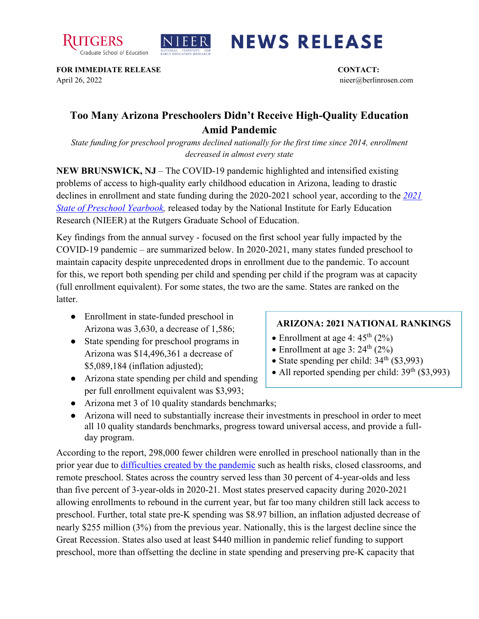



## **NEWS RELEASE**

**FOR IMMEDIATE RELEASE CONTACT:**  April 26, 2022 nieer@berlinrosen.com

## **Too Many Arizona Preschoolers Didn't Receive High-Quality Education Amid Pandemic**

*State funding for preschool programs declined nationally for the first time since 2014, enrollment decreased in almost every state*

**NEW BRUNSWICK, NJ** – The COVID-19 pandemic highlighted and intensified existing problems of access to high-quality early childhood education in Arizona, leading to drastic declines in enrollment and state funding during the 2020-2021 school year, according to the *[2021](https://nieer.org/state-preschool-yearbooks-yearbook2021)  [State of Preschool Yearbook,](https://nieer.org/state-preschool-yearbooks-yearbook2021)* released today by the National Institute for Early Education Research (NIEER) at the Rutgers Graduate School of Education.

Key findings from the annual survey - focused on the first school year fully impacted by the COVID-19 pandemic – are summarized below. In 2020-2021, many states funded preschool to maintain capacity despite unprecedented drops in enrollment due to the pandemic. To account for this, we report both spending per child and spending per child if the program was at capacity (full enrollment equivalent). For some states, the two are the same. States are ranked on the latter.

- Enrollment in state-funded preschool in Arizona was 3,630, a decrease of 1,586;
- State spending for preschool programs in Arizona was \$14,496,361 a decrease of \$5,089,184 (inflation adjusted);
- Arizona state spending per child and spending per full enrollment equivalent was \$3,993;

## **ARIZONA: 2021 NATIONAL RANKINGS**

- Enrollment at age 4:  $45<sup>th</sup>$  (2%)
- Enrollment at age 3:  $24^{\text{th}}$  (2%)
- State spending per child:  $34<sup>th</sup>$  (\$3,993)
- All reported spending per child:  $39<sup>th</sup>$  (\$3,993)
- Arizona met 3 of 10 quality standards benchmarks;
- Arizona will need to substantially increase their investments in preschool in order to meet all 10 quality standards benchmarks, progress toward universal access, and provide a fullday program.

According to the report, 298,000 fewer children were enrolled in preschool nationally than in the prior year due to [difficulties created by the pandemic](https://nieer.org/wp-content/uploads/2021/02/NIEER_Seven_Impacts_of_the_Pandemic_on_Young_Children_and_their_Parents.pdf) such as health risks, closed classrooms, and remote preschool. States across the country served less than 30 percent of 4-year-olds and less than five percent of 3-year-olds in 2020-21. Most states preserved capacity during 2020-2021 allowing enrollments to rebound in the current year, but far too many children still lack access to preschool. Further, total state pre-K spending was \$8.97 billion, an inflation adjusted decrease of nearly \$255 million (3%) from the previous year. Nationally, this is the largest decline since the Great Recession. States also used at least \$440 million in pandemic relief funding to support preschool, more than offsetting the decline in state spending and preserving pre-K capacity that